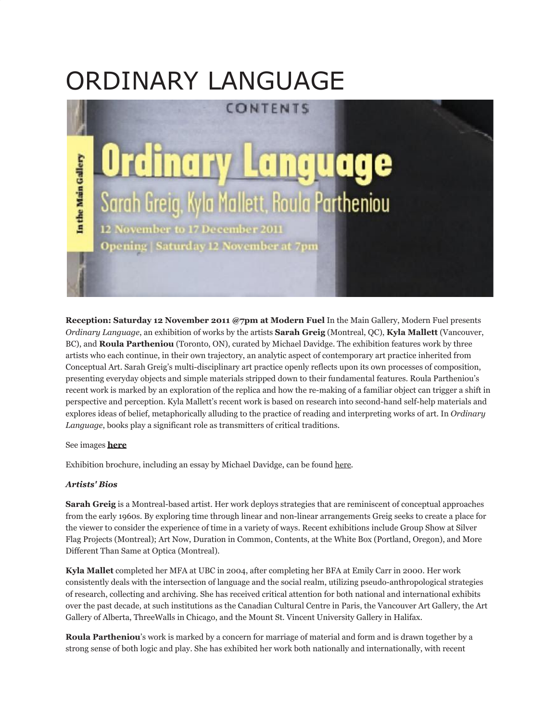## ORDINARY LANGUAGE



**Reception: Saturday 12 November 2011 @7pm at Modern Fuel** In the Main Gallery, Modern Fuel presents *Ordinary Language*, an exhibition of works by the artists **Sarah Greig** (Montreal, QC), **Kyla Mallett** (Vancouver, BC), and **Roula Partheniou** (Toronto, ON), curated by Michael Davidge. The exhibition features work by three artists who each continue, in their own trajectory, an analytic aspect of contemporary art practice inherited from Conceptual Art. Sarah Greig's multi-disciplinary art practice openly reflects upon its own processes of composition, presenting everyday objects and simple materials stripped down to their fundamental features. Roula Partheniou's recent work is marked by an exploration of the replica and how the re-making of a familiar object can trigger a shift in perspective and perception. Kyla Mallett's recent work is based on research into second-hand self-help materials and explores ideas of belief, metaphorically alluding to the practice of reading and interpreting works of art. In *Ordinary Language*, books play a significant role as transmitters of critical traditions.

## See images **[here](http://www.flickr.com/photos/modernfuel/sets/72157632506737102/)**

Exhibition brochure, including an essay by Michael Davidge, can be found [here.](http://issuu.com/modernfuel/docs/mf_bulletin_languageempire)

## *Artists' Bios*

**Sarah Greig** is a Montreal-based artist. Her work deploys strategies that are reminiscent of conceptual approaches from the early 1960s. By exploring time through linear and non-linear arrangements Greig seeks to create a place for the viewer to consider the experience of time in a variety of ways. Recent exhibitions include Group Show at Silver Flag Projects (Montreal); Art Now, Duration in Common, Contents, at the White Box (Portland, Oregon), and More Different Than Same at Optica (Montreal).

**Kyla Mallet** completed her MFA at UBC in 2004, after completing her BFA at Emily Carr in 2000. Her work consistently deals with the intersection of language and the social realm, utilizing pseudo-anthropological strategies of research, collecting and archiving. She has received critical attention for both national and international exhibits over the past decade, at such institutions as the Canadian Cultural Centre in Paris, the Vancouver Art Gallery, the Art Gallery of Alberta, ThreeWalls in Chicago, and the Mount St. Vincent University Gallery in Halifax.

**Roula Partheniou**'s work is marked by a concern for marriage of material and form and is drawn together by a strong sense of both logic and play. She has exhibited her work both nationally and internationally, with recent